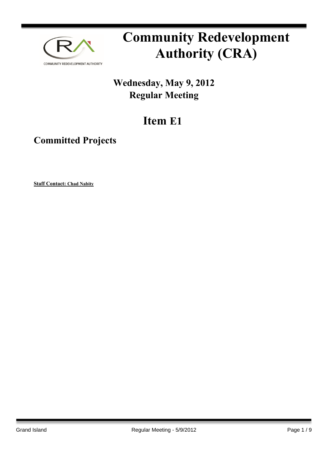

# **Community Redevelopment Authority (CRA)**

## **Wednesday, May 9, 2012 Regular Meeting**

## **Item E1**

### **Committed Projects**

**Staff Contact: Chad Nabity**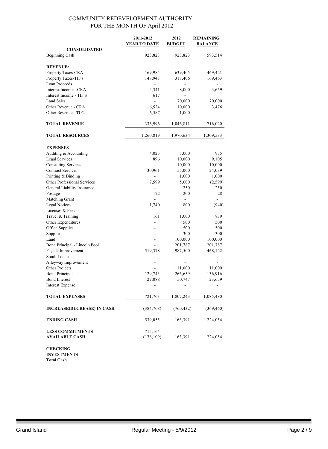|                                              | 2011-2012<br><b>YEAR TO DATE</b> | 2012<br><b>BUDGET</b> | <b>REMAINING</b><br><b>BALANCE</b> |  |
|----------------------------------------------|----------------------------------|-----------------------|------------------------------------|--|
| <b>CONSOLIDATED</b><br><b>Beginning Cash</b> | 923,823                          | 923,823               | 593,514                            |  |
| <b>REVENUE:</b>                              |                                  |                       |                                    |  |
| Property Taxes-CRA                           | 169,984                          | 639,405               | 469,421                            |  |
| Property Taxes-TIF's                         | 148,943                          | 318,406               | 169,463                            |  |
| Loan Proceeds                                |                                  |                       |                                    |  |
| Interest Income - CRA                        | 4,341                            | 8,000                 | 3,659                              |  |
| Interest Income - TIF'S                      | 617                              |                       |                                    |  |
| <b>Land Sales</b>                            | $\blacksquare$                   | 70,000                | 70,000                             |  |
| Other Revenue - CRA                          | 6,524                            | 10,000                | 3,476                              |  |
| Other Revenue - TIF's                        | 6,587                            | 1,000                 |                                    |  |
| <b>TOTAL REVENUE</b>                         | 336,996                          | 1,046,811             | 716,020                            |  |
| <b>TOTAL RESOURCES</b>                       | 1,260,819                        | 1,970,634             | 1,309,533                          |  |
| <b>EXPENSES</b>                              |                                  |                       |                                    |  |
| Auditing & Accounting                        | 4,025                            | 5,000                 | 975                                |  |
| Legal Services                               | 896                              | 10,000                | 9,105                              |  |
| <b>Consulting Services</b>                   |                                  | 10,000                | 10,000                             |  |
| <b>Contract Services</b>                     | 30,961                           | 55,000                | 24,039                             |  |
| Printing & Binding                           |                                  | 1,000                 | 1,000                              |  |
| Other Professional Services                  | 7,599                            | 5,000                 | (2,599)                            |  |
| General Liability Insurance                  |                                  | 250                   | 250                                |  |
| Postage                                      | 172                              | 200                   | 28                                 |  |
| Matching Grant                               |                                  | $\overline{a}$        |                                    |  |
| <b>Legal Notices</b>                         | 1,740                            | 800                   | (940)                              |  |
| Licenses & Fees                              |                                  | $\blacksquare$        |                                    |  |
| Travel & Training                            | 161                              | 1,000                 | 839                                |  |
| Other Expenditures                           |                                  | 500                   | 500                                |  |
| Office Supplies                              |                                  | 500                   | 500                                |  |
| Supplies                                     |                                  | 300                   | 300                                |  |
| Land                                         |                                  | 100,000               | 100,000                            |  |
| Bond Principal - Lincoln Pool                |                                  | 201,787               | 201,787                            |  |
| Façade Improvement                           | 519,378                          | 987,500               | 468,122                            |  |
| South Locust                                 |                                  |                       |                                    |  |
| Alleyway Improvement                         |                                  |                       |                                    |  |
| Other Projects                               |                                  | 111,000               | 111,000                            |  |
| <b>Bond Principal</b>                        | 129,743                          | 266,659               | 136,916                            |  |
| <b>Bond Interest</b>                         | 27,088                           | 50,747                | 23,659                             |  |
| <b>Interest Expense</b>                      |                                  |                       |                                    |  |
| <b>TOTAL EXPENSES</b>                        | 721,763                          | 1,807,243             | 1,085,480                          |  |
| <b>INCREASE(DECREASE) IN CASH</b>            | (384, 768)                       | (760, 432)            | (369, 460)                         |  |
| <b>ENDING CASH</b>                           | 539,055                          | 163,391               | 224,054                            |  |
| <b>LESS COMMITMENTS</b>                      | 715,164                          |                       |                                    |  |
| <b>AVAILABLE CASH</b>                        | (176, 109)                       | 163,391               | 224,054                            |  |
|                                              |                                  |                       |                                    |  |

**CHECKING INVESTMENTS Total Cash**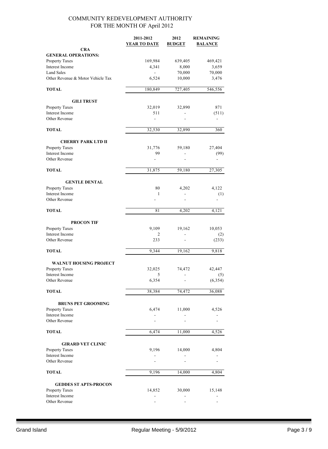|                                                 | 2011-2012<br><b>YEAR TO DATE</b> | 2012<br><b>BUDGET</b> | <b>REMAINING</b><br><b>BALANCE</b> |
|-------------------------------------------------|----------------------------------|-----------------------|------------------------------------|
| <b>CRA</b>                                      |                                  |                       |                                    |
| <b>GENERAL OPERATIONS:</b>                      | 169,984                          | 639,405               | 469,421                            |
| Property Taxes<br>Interest Income               | 4,341                            | 8,000                 | 3,659                              |
| <b>Land Sales</b>                               |                                  | 70,000                | 70,000                             |
| Other Revenue & Motor Vehicle Tax               | 6,524                            | 10,000                | 3,476                              |
| <b>TOTAL</b>                                    | 180,849                          | 727,405               | 546,556                            |
| <b>GILI TRUST</b>                               |                                  |                       |                                    |
| Property Taxes                                  | 32,019                           | 32,890                | 871                                |
| Interest Income<br>Other Revenue                | 511<br>÷                         |                       | (511)                              |
| <b>TOTAL</b>                                    | 32,530                           | 32,890                | 360                                |
|                                                 |                                  |                       |                                    |
| <b>CHERRY PARK LTD II</b><br>Property Taxes     | 31,776                           | 59,180                | 27,404                             |
| Interest Income                                 | 99                               |                       | (99)                               |
| Other Revenue                                   |                                  |                       |                                    |
| <b>TOTAL</b>                                    | 31,875                           | 59,180                | 27,305                             |
| <b>GENTLE DENTAL</b>                            |                                  |                       |                                    |
| Property Taxes                                  | 80                               | 4,202                 | 4,122                              |
| Interest Income                                 | 1                                |                       | (1)                                |
| Other Revenue                                   |                                  |                       |                                    |
| <b>TOTAL</b>                                    | 81                               | 4,202                 | 4,121                              |
| <b>PROCON TIF</b>                               |                                  |                       |                                    |
| Property Taxes                                  | 9,109                            | 19,162                | 10,053                             |
| Interest Income<br>Other Revenue                | 2<br>233                         |                       | (2)<br>(233)                       |
| <b>TOTAL</b>                                    | 9,344                            | 19,162                | 9,818                              |
|                                                 |                                  |                       |                                    |
| <b>WALNUT HOUSING PROJECT</b><br>Property Taxes | 32,025                           | 74,472                | 42,447                             |
| Interest Income                                 | 5                                |                       | (5)                                |
| Other Revenue                                   | 6,354                            |                       | (6, 354)                           |
| <b>TOTAL</b>                                    | 38,384                           | 74,472                | 36,088                             |
| <b>BRUNS PET GROOMING</b>                       |                                  |                       |                                    |
| Property Taxes                                  | 6,474                            | 11,000                | 4,526                              |
| Interest Income                                 |                                  |                       |                                    |
| Other Revenue                                   |                                  |                       |                                    |
| <b>TOTAL</b>                                    | 6,474                            | 11,000                | 4,526                              |
| <b>GIRARD VET CLINIC</b>                        |                                  |                       |                                    |
| Property Taxes                                  | 9,196                            | 14,000                | 4,804                              |
| Interest Income<br>Other Revenue                |                                  |                       |                                    |
| <b>TOTAL</b>                                    | 9,196                            | 14,000                | 4,804                              |
|                                                 |                                  |                       |                                    |
| <b>GEDDES ST APTS-PROCON</b>                    |                                  |                       |                                    |
| Property Taxes<br>Interest Income               | 14,852                           | 30,000                | 15,148                             |
| Other Revenue                                   |                                  |                       |                                    |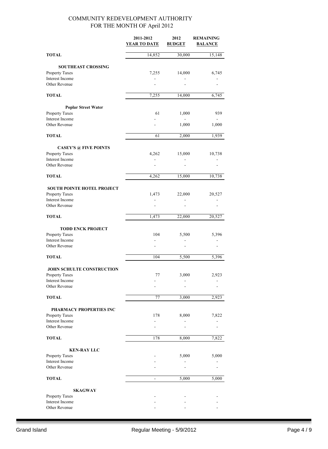|                                   | 2011-2012<br><b>YEAR TO DATE</b> | 2012<br><b>BUDGET</b> | <b>REMAINING</b><br><b>BALANCE</b> |
|-----------------------------------|----------------------------------|-----------------------|------------------------------------|
| <b>TOTAL</b>                      | 14,852                           | 30,000                | 15,148                             |
| <b>SOUTHEAST CROSSING</b>         |                                  |                       |                                    |
| Property Taxes                    | 7,255                            | 14,000                | 6,745                              |
| Interest Income                   |                                  |                       |                                    |
| Other Revenue                     |                                  |                       |                                    |
| <b>TOTAL</b>                      | 7,255                            | 14,000                | 6,745                              |
| <b>Poplar Street Water</b>        |                                  |                       |                                    |
| Property Taxes                    | 61                               | 1,000                 | 939                                |
| Interest Income<br>Other Revenue  |                                  | 1,000                 | 1,000                              |
|                                   |                                  |                       |                                    |
| <b>TOTAL</b>                      | 61                               | 2,000                 | 1,939                              |
| <b>CASEY'S @ FIVE POINTS</b>      |                                  |                       |                                    |
| Property Taxes                    | 4,262                            | 15,000                | 10,738                             |
| Interest Income<br>Other Revenue  | $\overline{a}$                   |                       |                                    |
| <b>TOTAL</b>                      | 4,262                            | 15,000                | 10,738                             |
| <b>SOUTH POINTE HOTEL PROJECT</b> |                                  |                       |                                    |
| Property Taxes                    | 1,473                            | 22,000                | 20,527                             |
| Interest Income                   |                                  |                       |                                    |
| Other Revenue                     |                                  |                       |                                    |
| <b>TOTAL</b>                      | 1,473                            | 22,000                | 20,527                             |
| <b>TODD ENCK PROJECT</b>          |                                  |                       |                                    |
| Property Taxes                    | 104                              | 5,500                 | 5,396                              |
| Interest Income<br>Other Revenue  | L,                               | $\overline{a}$        |                                    |
| <b>TOTAL</b>                      | 104                              | 5,500                 | 5,396                              |
|                                   |                                  |                       |                                    |
| <b>JOHN SCHULTE CONSTRUCTION</b>  |                                  |                       |                                    |
| Property Taxes<br>Interest Income | 77                               | 3,000                 | 2,923                              |
| Other Revenue                     |                                  |                       |                                    |
| <b>TOTAL</b>                      | 77                               | 3,000                 | 2,923                              |
| <b>PHARMACY PROPERTIES INC</b>    |                                  |                       |                                    |
| Property Taxes                    | 178                              | 8,000                 | 7,822                              |
| Interest Income                   |                                  |                       |                                    |
| Other Revenue                     |                                  |                       |                                    |
| <b>TOTAL</b>                      | 178                              | 8,000                 | 7,822                              |
| <b>KEN-RAY LLC</b>                |                                  |                       |                                    |
| Property Taxes                    |                                  | 5,000                 | 5,000                              |
| Interest Income<br>Other Revenue  |                                  |                       |                                    |
| <b>TOTAL</b>                      |                                  | 5,000                 | 5,000                              |
|                                   |                                  |                       |                                    |
| <b>SKAGWAY</b><br>Property Taxes  |                                  |                       |                                    |
| Interest Income                   |                                  |                       |                                    |
| Other Revenue                     |                                  |                       |                                    |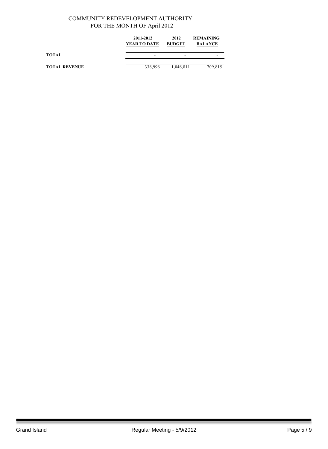|                      | 2011-2012<br>YEAR TO DATE | 2012<br><b>BUDGET</b> | <b>REMAINING</b><br><b>BALANCE</b> |  |
|----------------------|---------------------------|-----------------------|------------------------------------|--|
| <b>TOTAL</b>         | -                         | -                     | -                                  |  |
| <b>TOTAL REVENUE</b> | 336,996                   | 1,046,811             | 709,815                            |  |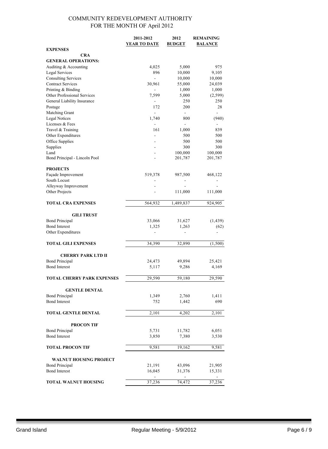|                                       | 2011-2012                | 2012               | <b>REMAINING</b>         |
|---------------------------------------|--------------------------|--------------------|--------------------------|
|                                       | <b>YEAR TO DATE</b>      | <b>BUDGET</b>      | <b>BALANCE</b>           |
| <b>EXPENSES</b><br>CRA                |                          |                    |                          |
| <b>GENERAL OPERATIONS:</b>            |                          |                    |                          |
| Auditing & Accounting                 | 4,025                    | 5,000              | 975                      |
| Legal Services                        | 896                      | 10,000             | 9,105                    |
| <b>Consulting Services</b>            | $\overline{\phantom{a}}$ | 10,000             | 10,000                   |
| <b>Contract Services</b>              | 30,961                   | 55,000             | 24,039                   |
| Printing & Binding                    |                          | 1,000              | 1,000                    |
| Other Professional Services           | 7,599                    | 5,000              | (2, 599)                 |
| General Liability Insurance           | $\overline{\phantom{0}}$ | 250                | 250                      |
| Postage                               | 172<br>200               |                    | 28                       |
| Matching Grant                        | $\overline{a}$           | $\blacksquare$     | L.                       |
| <b>Legal Notices</b>                  | 1,740                    | 800                | (940)                    |
| Licenses & Fees                       |                          | $\blacksquare$     |                          |
| Travel & Training                     | 161                      | 1,000              | 839                      |
| Other Expenditures                    |                          | 500                | 500                      |
| Office Supplies                       |                          | 500                | 500                      |
| Supplies                              |                          | 300                | 300                      |
| Land<br>Bond Principal - Lincoln Pool |                          | 100,000<br>201,787 | 100,000<br>201,787       |
|                                       |                          |                    |                          |
| <b>PROJECTS</b>                       |                          |                    |                          |
| Façade Improvement                    | 519,378                  | 987,500            | 468,122                  |
| South Locust                          |                          |                    |                          |
| Alleyway Improvement                  |                          |                    |                          |
| Other Projects                        |                          | 111,000            | 111,000                  |
|                                       |                          |                    |                          |
| <b>TOTAL CRA EXPENSES</b>             | 564,932                  | 1,489,837          | 924,905                  |
|                                       |                          |                    |                          |
| <b>GILI TRUST</b>                     |                          |                    |                          |
| <b>Bond Principal</b>                 | 33,066                   | 31,627             | (1, 439)                 |
| <b>Bond Interest</b>                  | 1,325                    | 1,263              | (62)                     |
| Other Expenditures                    | $\overline{a}$           | $\overline{a}$     | $\overline{\phantom{0}}$ |
| <b>TOTAL GILI EXPENSES</b>            | 34,390                   | 32,890             | (1,500)                  |
|                                       |                          |                    |                          |
| <b>CHERRY PARK LTD II</b>             |                          |                    |                          |
| <b>Bond Principal</b>                 | 24,473                   | 49,894             | 25,421                   |
| <b>Bond Interest</b>                  | 5,117                    | 9,286              | 4,169                    |
| <b>TOTAL CHERRY PARK EXPENSES</b>     | 29,590                   | 59,180             | 29,590                   |
|                                       |                          |                    |                          |
| <b>GENTLE DENTAL</b>                  |                          |                    |                          |
| <b>Bond Principal</b>                 | 1,349                    | 2,760              | 1,411                    |
| <b>Bond Interest</b>                  | 752                      | 1,442              | 690                      |
|                                       |                          |                    |                          |
| TOTAL GENTLE DENTAL                   | 2,101                    | 4,202              | 2,101                    |
|                                       |                          |                    |                          |
| <b>PROCON TIF</b>                     |                          |                    |                          |
| <b>Bond Principal</b>                 | 5,731                    | 11,782             | 6,051                    |
| <b>Bond Interest</b>                  | 3,850                    | 7,380              | 3,530                    |
| <b>TOTAL PROCON TIF</b>               |                          |                    |                          |
|                                       | 9,581                    | 19,162             | 9,581                    |
| WALNUT HOUSING PROJECT                |                          |                    |                          |
| <b>Bond Principal</b>                 | 21,191                   | 43,096             | 21,905                   |
| <b>Bond Interest</b>                  | 16,045                   | 31,376             | 15,331                   |
|                                       |                          |                    |                          |
| TOTAL WALNUT HOUSING                  | 37,236                   | 74,472             | 37,236                   |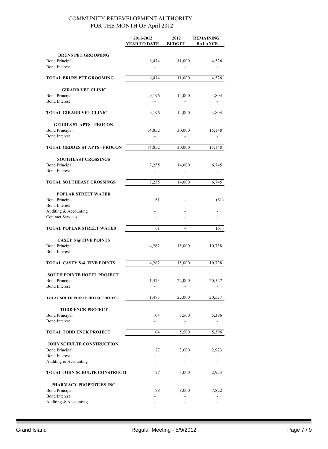|                                                                                                                                  | 2011-2012<br>YEAR TO DATE | 2012<br><b>BUDGET</b> | <b>REMAINING</b><br><b>BALANCE</b> |
|----------------------------------------------------------------------------------------------------------------------------------|---------------------------|-----------------------|------------------------------------|
| <b>BRUNS PET GROOMING</b><br><b>Bond Principal</b><br><b>Bond Interest</b>                                                       | 6,474                     | 11,000                | 4,526                              |
| <b>TOTAL BRUNS PET GROOMING</b>                                                                                                  | 6,474                     | 11,000                | 4,526                              |
| <b>GIRARD VET CLINIC</b><br><b>Bond Principal</b><br><b>Bond Interest</b>                                                        | 9,196                     | 14,000                | 4,804                              |
| <b>TOTAL GIRARD VET CLINIC</b>                                                                                                   | 9,196                     | 14,000                | 4,804                              |
| <b>GEDDES ST APTS - PROCON</b><br><b>Bond Principal</b><br><b>Bond Interest</b>                                                  | 14,852                    | 30,000                | 15,148                             |
| <b>TOTAL GEDDES ST APTS - PROCON</b>                                                                                             | 14,852                    | 30,000                | $\overline{15,148}$                |
| <b>SOUTHEAST CROSSINGS</b><br><b>Bond Principal</b><br><b>Bond Interest</b>                                                      | 7,255                     | 14,000                | 6,745                              |
| TOTAL SOUTHEAST CROSSINGS                                                                                                        | 7,255                     | 14,000                | 6,745                              |
| <b>POPLAR STREET WATER</b><br><b>Bond Principal</b><br><b>Bond Interest</b><br>Auditing & Accounting<br><b>Contract Services</b> | 61                        |                       | (61)                               |
| <b>TOTAL POPLAR STREET WATER</b>                                                                                                 | 61                        | $\frac{1}{2}$         | (61)                               |
| <b>CASEY'S @ FIVE POINTS</b><br><b>Bond Principal</b><br><b>Bond Interest</b>                                                    | 4,262<br>ä,               | 15,000                | 10,738                             |
| <b>TOTAL CASEY'S @ FIVE POINTS</b>                                                                                               | 4,262                     | 15,000                | 10,738                             |
| <b>SOUTH POINTE HOTEL PROJECT</b><br><b>Bond Principal</b><br><b>Bond Interest</b>                                               | 1,473                     | 22,000                | 20,527                             |
| TOTAL SOUTH POINTE HOTEL PROJECT                                                                                                 | 1,473                     | 22,000                | 20,527                             |
| <b>TODD ENCK PROJECT</b><br><b>Bond Principal</b><br><b>Bond Interest</b>                                                        | 104                       | 5,500                 | 5,396                              |
| <b>TOTAL TODD ENCK PROJECT</b>                                                                                                   | 104                       | 5,500                 | 5,396                              |
| <b>JOHN SCHULTE CONSTRUCTION</b><br><b>Bond Principal</b><br><b>Bond Interest</b><br>Auditing & Accounting                       | 77                        | 3,000                 | 2,923                              |
| <b>TOTAL JOHN SCHULTE CONSTRUCIT</b>                                                                                             | 77                        | 3,000                 | 2,923                              |
| PHARMACY PROPERTIES INC<br><b>Bond Principal</b><br><b>Bond Interest</b><br>Auditing & Accounting                                | 178                       | 8,000                 | 7,822                              |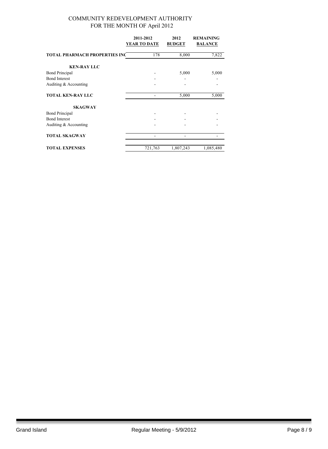|                                      | 2011-2012<br>2012 |               | <b>REMAINING</b> |  |
|--------------------------------------|-------------------|---------------|------------------|--|
|                                      | YEAR TO DATE      | <b>BUDGET</b> | <b>BALANCE</b>   |  |
| <b>TOTAL PHARMACH PROPERTIES INC</b> | 178               | 8,000         | 7,822            |  |
| <b>KEN-RAY LLC</b>                   |                   |               |                  |  |
| <b>Bond Principal</b>                |                   | 5,000         |                  |  |
| <b>Bond Interest</b>                 |                   |               |                  |  |
| Auditing & Accounting                |                   |               |                  |  |
| <b>TOTAL KEN-RAY LLC</b>             |                   | 5,000         | 5,000            |  |
| <b>SKAGWAY</b>                       |                   |               |                  |  |
| <b>Bond Principal</b>                |                   |               |                  |  |
| <b>Bond Interest</b>                 |                   |               |                  |  |
| Auditing & Accounting                |                   |               |                  |  |
| <b>TOTAL SKAGWAY</b>                 |                   |               |                  |  |
| <b>TOTAL EXPENSES</b>                | 721,763           | 1,807,243     | 1,085,480        |  |